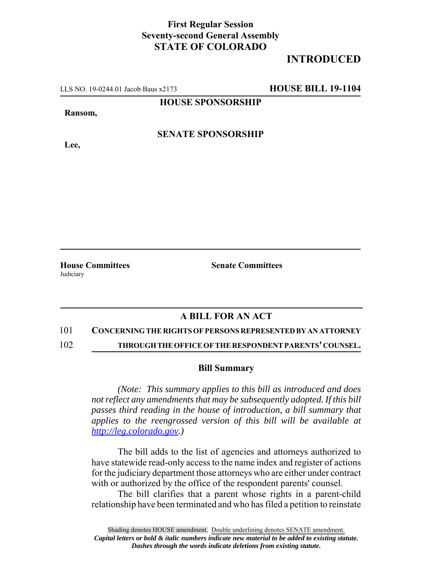## **First Regular Session Seventy-second General Assembly STATE OF COLORADO**

# **INTRODUCED**

LLS NO. 19-0244.01 Jacob Baus x2173 **HOUSE BILL 19-1104**

**HOUSE SPONSORSHIP**

#### **Ransom,**

**Lee,**

### **SENATE SPONSORSHIP**

**Judiciary** 

**House Committees Senate Committees** 

### **A BILL FOR AN ACT**

#### 101 **CONCERNING THE RIGHTS OF PERSONS REPRESENTED BY AN ATTORNEY**

102 **THROUGH THE OFFICE OF THE RESPONDENT PARENTS' COUNSEL.**

#### **Bill Summary**

*(Note: This summary applies to this bill as introduced and does not reflect any amendments that may be subsequently adopted. If this bill passes third reading in the house of introduction, a bill summary that applies to the reengrossed version of this bill will be available at http://leg.colorado.gov.)*

The bill adds to the list of agencies and attorneys authorized to have statewide read-only access to the name index and register of actions for the judiciary department those attorneys who are either under contract with or authorized by the office of the respondent parents' counsel.

The bill clarifies that a parent whose rights in a parent-child relationship have been terminated and who has filed a petition to reinstate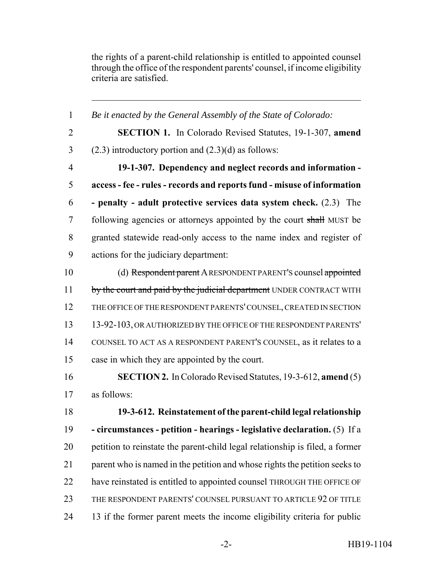the rights of a parent-child relationship is entitled to appointed counsel through the office of the respondent parents' counsel, if income eligibility criteria are satisfied.

 *Be it enacted by the General Assembly of the State of Colorado:* **SECTION 1.** In Colorado Revised Statutes, 19-1-307, **amend** 3 (2.3) introductory portion and  $(2.3)(d)$  as follows: **19-1-307. Dependency and neglect records and information - access - fee - rules - records and reports fund - misuse of information - penalty - adult protective services data system check.** (2.3) The 7 following agencies or attorneys appointed by the court shall MUST be granted statewide read-only access to the name index and register of actions for the judiciary department: (d) Respondent parent A RESPONDENT PARENT'S counsel appointed 11 by the court and paid by the judicial department UNDER CONTRACT WITH THE OFFICE OF THE RESPONDENT PARENTS' COUNSEL, CREATED IN SECTION 13-92-103, OR AUTHORIZED BY THE OFFICE OF THE RESPONDENT PARENTS' COUNSEL TO ACT AS A RESPONDENT PARENT'S COUNSEL, as it relates to a case in which they are appointed by the court. **SECTION 2.** In Colorado Revised Statutes, 19-3-612, **amend** (5) as follows: **19-3-612. Reinstatement of the parent-child legal relationship - circumstances - petition - hearings - legislative declaration.** (5) If a petition to reinstate the parent-child legal relationship is filed, a former parent who is named in the petition and whose rights the petition seeks to 22 have reinstated is entitled to appointed counsel THROUGH THE OFFICE OF THE RESPONDENT PARENTS' COUNSEL PURSUANT TO ARTICLE 92 OF TITLE 13 if the former parent meets the income eligibility criteria for public